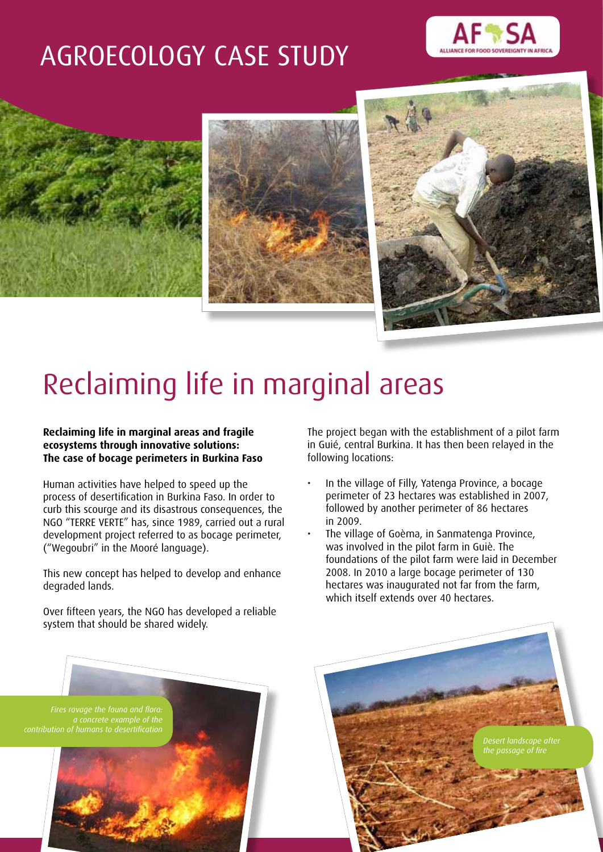# AGROECOLOGY CASE STUDY









# Reclaiming life in marginal areas

#### **Reclaiming life in marginal areas and fragile ecosystems through innovative solutions: The case of bocage perimeters in Burkina Faso**

Human activities have helped to speed up the process of desertification in Burkina Faso. In order to curb this scourge and its disastrous consequences, the NGO "TERRE VERTE" has, since 1989, carried out a rural development project referred to as bocage perimeter, ("Wegoubri" in the Mooré language).

This new concept has helped to develop and enhance degraded lands.

Over fifteen years, the NGO has developed a reliable system that should be shared widely.

The project began with the establishment of a pilot farm in Guié, central Burkina. It has then been relayed in the following locations:

- In the village of Filly, Yatenga Province, a bocage perimeter of 23 hectares was established in 2007, followed by another perimeter of 86 hectares in 2009.
- The village of Goèma, in Sanmatenga Province, was involved in the pilot farm in Guiè. The foundations of the pilot farm were laid in December 2008. In 2010 a large bocage perimeter of 130 hectares was inaugurated not far from the farm, which itself extends over 40 hectares.

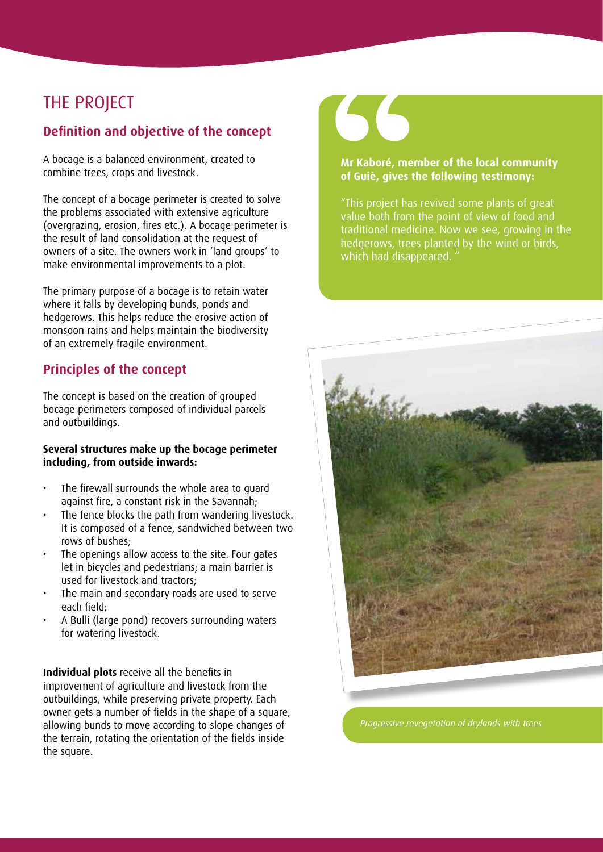# THE PROJECT

### **Definition and objective of the concept**

A bocage is a balanced environment, created to combine trees, crops and livestock.

The concept of a bocage perimeter is created to solve the problems associated with extensive agriculture (overgrazing, erosion, fires etc.). A bocage perimeter is the result of land consolidation at the request of owners of a site. The owners work in 'land groups' to make environmental improvements to a plot.

The primary purpose of a bocage is to retain water where it falls by developing bunds, ponds and hedgerows. This helps reduce the erosive action of monsoon rains and helps maintain the biodiversity of an extremely fragile environment.

### **Principles of the concept**

The concept is based on the creation of grouped bocage perimeters composed of individual parcels and outbuildings.

#### **Several structures make up the bocage perimeter including, from outside inwards:**

- The firewall surrounds the whole area to quard against fire, a constant risk in the Savannah;
- The fence blocks the path from wandering livestock. It is composed of a fence, sandwiched between two rows of bushes;
- The openings allow access to the site. Four gates let in bicycles and pedestrians; a main barrier is used for livestock and tractors;
- The main and secondary roads are used to serve each field;
- A Bulli (large pond) recovers surrounding waters for watering livestock.

**Individual plots** receive all the benefits in improvement of agriculture and livestock from the outbuildings, while preserving private property. Each owner gets a number of fields in the shape of a square, allowing bunds to move according to slope changes of the terrain, rotating the orientation of the fields inside the square.



#### **Mr Kaboré, member of the local community of Guiè, gives the following testimony:**

"This project has revived some plants of great value both from the point of view of food and traditional medicine. Now we see, growing in the hedgerows, trees planted by the wind or birds, which had disappeared. "



*Progressive revegetation of drylands with trees*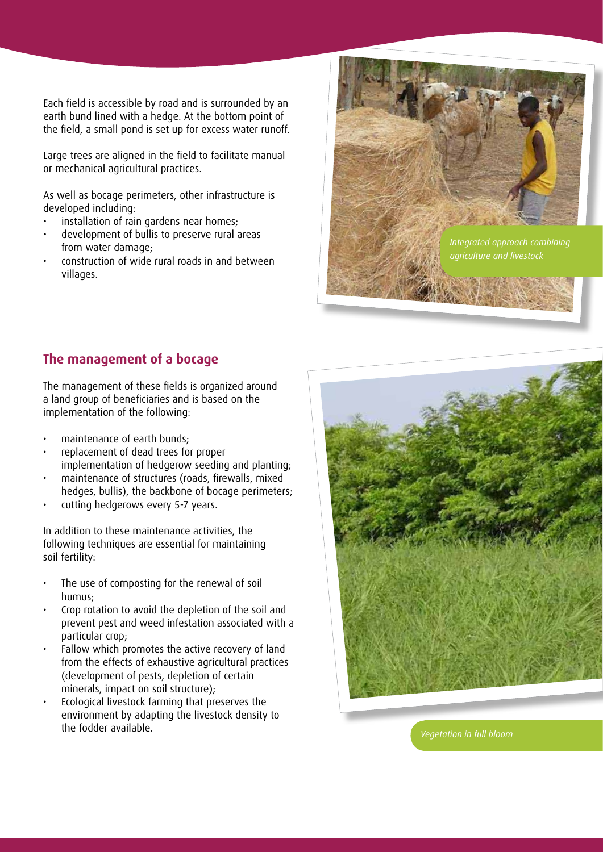Each field is accessible by road and is surrounded by an earth bund lined with a hedge. At the bottom point of the field, a small pond is set up for excess water runoff.

Large trees are aligned in the field to facilitate manual or mechanical agricultural practices.

As well as bocage perimeters, other infrastructure is developed including:

- installation of rain gardens near homes;
- development of bullis to preserve rural areas from water damage;
- construction of wide rural roads in and between villages.



#### **The management of a bocage**

The management of these fields is organized around a land group of beneficiaries and is based on the implementation of the following:

- maintenance of earth bunds:
- replacement of dead trees for proper implementation of hedgerow seeding and planting;
- maintenance of structures (roads, firewalls, mixed hedges, bullis), the backbone of bocage perimeters;
- cutting hedgerows every 5-7 years.

In addition to these maintenance activities, the following techniques are essential for maintaining soil fertility:

- The use of composting for the renewal of soil humus;
- Crop rotation to avoid the depletion of the soil and prevent pest and weed infestation associated with a particular crop;
- • Fallow which promotes the active recovery of land from the effects of exhaustive agricultural practices (development of pests, depletion of certain minerals, impact on soil structure);
- Ecological livestock farming that preserves the environment by adapting the livestock density to the fodder available.



*Vegetation in full bloom*